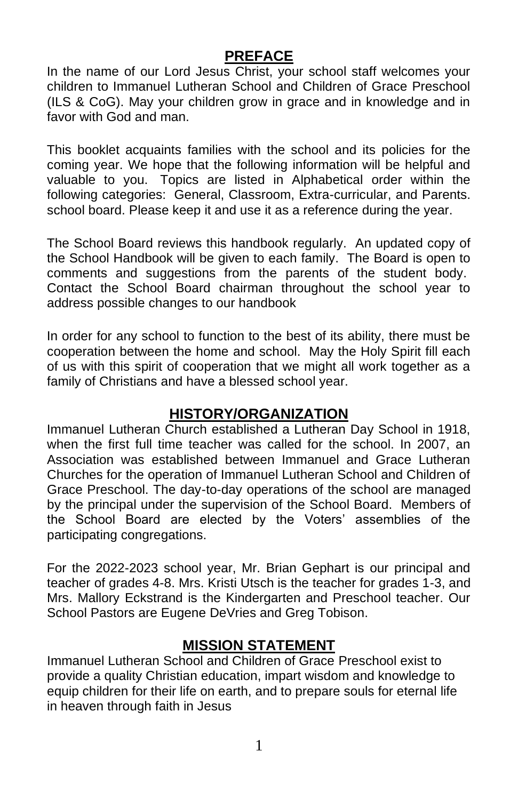### **PREFACE**

In the name of our Lord Jesus Christ, your school staff welcomes your children to Immanuel Lutheran School and Children of Grace Preschool (ILS & CoG). May your children grow in grace and in knowledge and in favor with God and man.

This booklet acquaints families with the school and its policies for the coming year. We hope that the following information will be helpful and valuable to you. Topics are listed in Alphabetical order within the following categories: General, Classroom, Extra-curricular, and Parents. school board. Please keep it and use it as a reference during the year.

The School Board reviews this handbook regularly. An updated copy of the School Handbook will be given to each family. The Board is open to comments and suggestions from the parents of the student body. Contact the School Board chairman throughout the school year to address possible changes to our handbook

In order for any school to function to the best of its ability, there must be cooperation between the home and school. May the Holy Spirit fill each of us with this spirit of cooperation that we might all work together as a family of Christians and have a blessed school year.

### **HISTORY/ORGANIZATION**

Immanuel Lutheran Church established a Lutheran Day School in 1918, when the first full time teacher was called for the school. In 2007, an Association was established between Immanuel and Grace Lutheran Churches for the operation of Immanuel Lutheran School and Children of Grace Preschool. The day-to-day operations of the school are managed by the principal under the supervision of the School Board. Members of the School Board are elected by the Voters' assemblies of the participating congregations.

For the 2022-2023 school year, Mr. Brian Gephart is our principal and teacher of grades 4-8. Mrs. Kristi Utsch is the teacher for grades 1-3, and Mrs. Mallory Eckstrand is the Kindergarten and Preschool teacher. Our School Pastors are Eugene DeVries and Greg Tobison.

### **MISSION STATEMENT**

Immanuel Lutheran School and Children of Grace Preschool exist to provide a quality Christian education, impart wisdom and knowledge to equip children for their life on earth, and to prepare souls for eternal life in heaven through faith in Jesus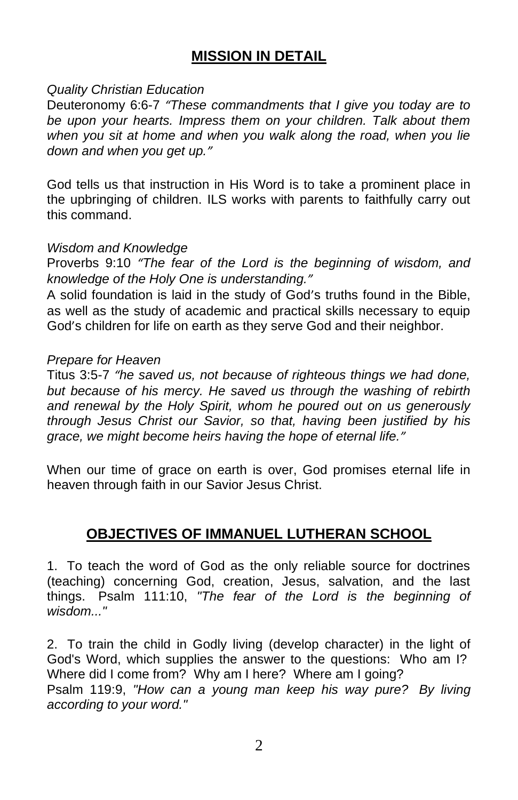### **MISSION IN DETAIL**

#### *Quality Christian Education*

Deuteronomy 6:6-7 *"These commandments that I give you today are to be upon your hearts. Impress them on your children. Talk about them when you sit at home and when you walk along the road, when you lie down and when you get up."*

God tells us that instruction in His Word is to take a prominent place in the upbringing of children. ILS works with parents to faithfully carry out this command.

#### *Wisdom and Knowledge*

Proverbs 9:10 *"The fear of the Lord is the beginning of wisdom, and knowledge of the Holy One is understanding."*

A solid foundation is laid in the study of God's truths found in the Bible, as well as the study of academic and practical skills necessary to equip God's children for life on earth as they serve God and their neighbor.

#### *Prepare for Heaven*

Titus 3:5-7 *"he saved us, not because of righteous things we had done, but because of his mercy. He saved us through the washing of rebirth and renewal by the Holy Spirit, whom he poured out on us generously through Jesus Christ our Savior, so that, having been justified by his grace, we might become heirs having the hope of eternal life."*

When our time of grace on earth is over, God promises eternal life in heaven through faith in our Savior Jesus Christ.

### **OBJECTIVES OF IMMANUEL LUTHERAN SCHOOL**

1. To teach the word of God as the only reliable source for doctrines (teaching) concerning God, creation, Jesus, salvation, and the last things. Psalm 111:10, *"The fear of the Lord is the beginning of wisdom..."*

2. To train the child in Godly living (develop character) in the light of God's Word, which supplies the answer to the questions: Who am I? Where did I come from? Why am I here? Where am I going? Psalm 119:9, *"How can a young man keep his way pure? By living according to your word."*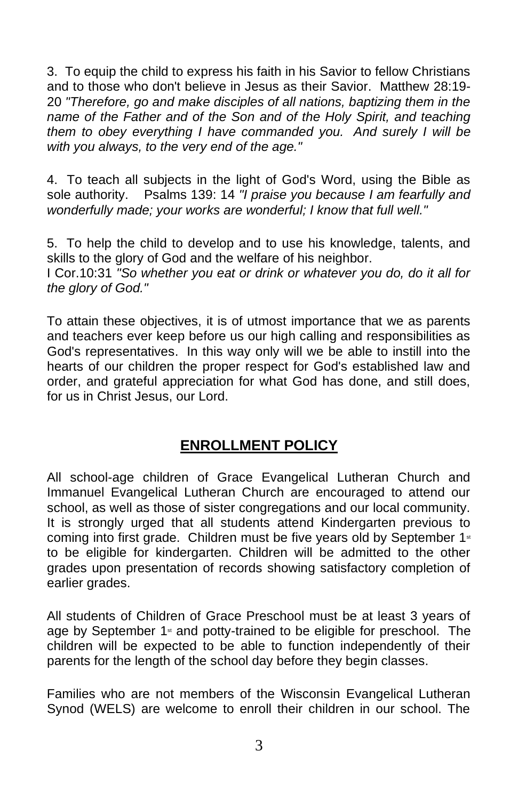3. To equip the child to express his faith in his Savior to fellow Christians and to those who don't believe in Jesus as their Savior. Matthew 28:19- 20 *"Therefore, go and make disciples of all nations, baptizing them in the name of the Father and of the Son and of the Holy Spirit, and teaching them to obey everything I have commanded you. And surely I will be with you always, to the very end of the age."*

4. To teach all subjects in the light of God's Word, using the Bible as sole authority. Psalms 139: 14 *"I praise you because I am fearfully and wonderfully made; your works are wonderful; I know that full well."*

5. To help the child to develop and to use his knowledge, talents, and skills to the glory of God and the welfare of his neighbor. I Cor.10:31 *"So whether you eat or drink or whatever you do, do it all for the glory of God."*

To attain these objectives, it is of utmost importance that we as parents and teachers ever keep before us our high calling and responsibilities as God's representatives. In this way only will we be able to instill into the hearts of our children the proper respect for God's established law and order, and grateful appreciation for what God has done, and still does, for us in Christ Jesus, our Lord.

# **ENROLLMENT POLICY**

All school-age children of Grace Evangelical Lutheran Church and Immanuel Evangelical Lutheran Church are encouraged to attend our school, as well as those of sister congregations and our local community. It is strongly urged that all students attend Kindergarten previous to coming into first grade. Children must be five years old by September 1<sup>st</sup> to be eligible for kindergarten. Children will be admitted to the other grades upon presentation of records showing satisfactory completion of earlier grades.

All students of Children of Grace Preschool must be at least 3 years of age by September 1<sup>st</sup> and potty-trained to be eligible for preschool. The children will be expected to be able to function independently of their parents for the length of the school day before they begin classes.

Families who are not members of the Wisconsin Evangelical Lutheran Synod (WELS) are welcome to enroll their children in our school. The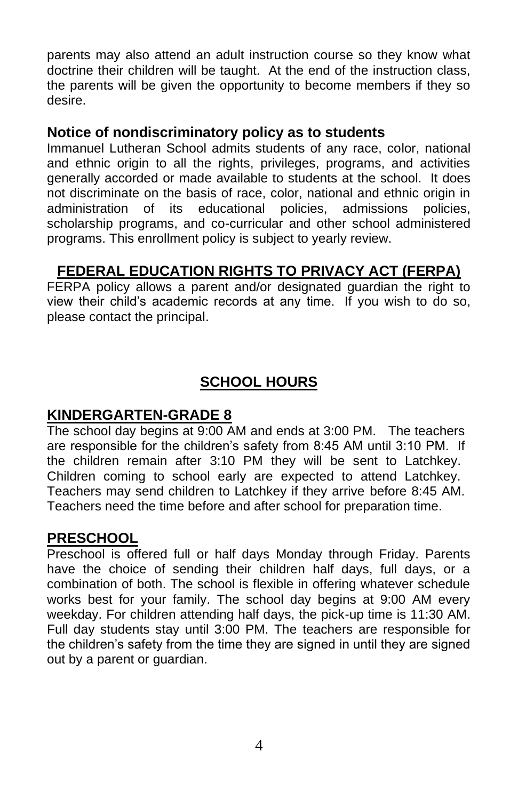parents may also attend an adult instruction course so they know what doctrine their children will be taught. At the end of the instruction class, the parents will be given the opportunity to become members if they so desire.

### **Notice of nondiscriminatory policy as to students**

Immanuel Lutheran School admits students of any race, color, national and ethnic origin to all the rights, privileges, programs, and activities generally accorded or made available to students at the school. It does not discriminate on the basis of race, color, national and ethnic origin in administration of its educational policies, admissions policies, scholarship programs, and co-curricular and other school administered programs. This enrollment policy is subject to yearly review.

# **FEDERAL EDUCATION RIGHTS TO PRIVACY ACT (FERPA)**

FERPA policy allows a parent and/or designated guardian the right to view their child's academic records at any time. If you wish to do so, please contact the principal.

# **SCHOOL HOURS**

### **KINDERGARTEN-GRADE 8**

The school day begins at 9:00 AM and ends at 3:00 PM. The teachers are responsible for the children's safety from 8:45 AM until 3:10 PM. If the children remain after 3:10 PM they will be sent to Latchkey. Children coming to school early are expected to attend Latchkey. Teachers may send children to Latchkey if they arrive before 8:45 AM. Teachers need the time before and after school for preparation time.

### **PRESCHOOL**

Preschool is offered full or half days Monday through Friday. Parents have the choice of sending their children half days, full days, or a combination of both. The school is flexible in offering whatever schedule works best for your family. The school day begins at 9:00 AM every weekday. For children attending half days, the pick-up time is 11:30 AM. Full day students stay until 3:00 PM. The teachers are responsible for the children's safety from the time they are signed in until they are signed out by a parent or quardian.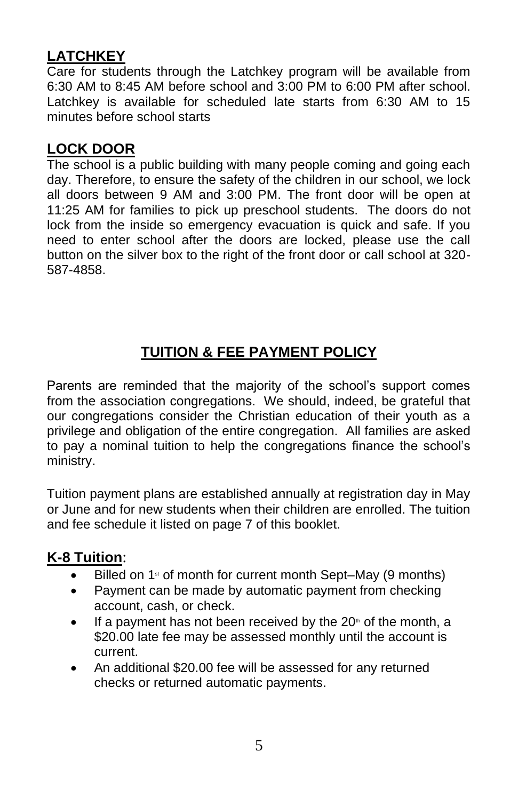# **LATCHKEY**

Care for students through the Latchkey program will be available from 6:30 AM to 8:45 AM before school and 3:00 PM to 6:00 PM after school. Latchkey is available for scheduled late starts from 6:30 AM to 15 minutes before school starts

## **LOCK DOOR**

The school is a public building with many people coming and going each day. Therefore, to ensure the safety of the children in our school, we lock all doors between 9 AM and 3:00 PM. The front door will be open at 11:25 AM for families to pick up preschool students. The doors do not lock from the inside so emergency evacuation is quick and safe. If you need to enter school after the doors are locked, please use the call button on the silver box to the right of the front door or call school at 320- 587-4858.

# **TUITION & FEE PAYMENT POLICY**

Parents are reminded that the majority of the school's support comes from the association congregations. We should, indeed, be grateful that our congregations consider the Christian education of their youth as a privilege and obligation of the entire congregation. All families are asked to pay a nominal tuition to help the congregations finance the school's ministry.

Tuition payment plans are established annually at registration day in May or June and for new students when their children are enrolled. The tuition and fee schedule it listed on page 7 of this booklet.

### **K-8 Tuition**:

- Billed on  $1$ <sup>st</sup> of month for current month Sept–May (9 months)
- Payment can be made by automatic payment from checking account, cash, or check.
- If a payment has not been received by the  $20<sup>th</sup>$  of the month, a \$20.00 late fee may be assessed monthly until the account is current.
- An additional \$20.00 fee will be assessed for any returned checks or returned automatic payments.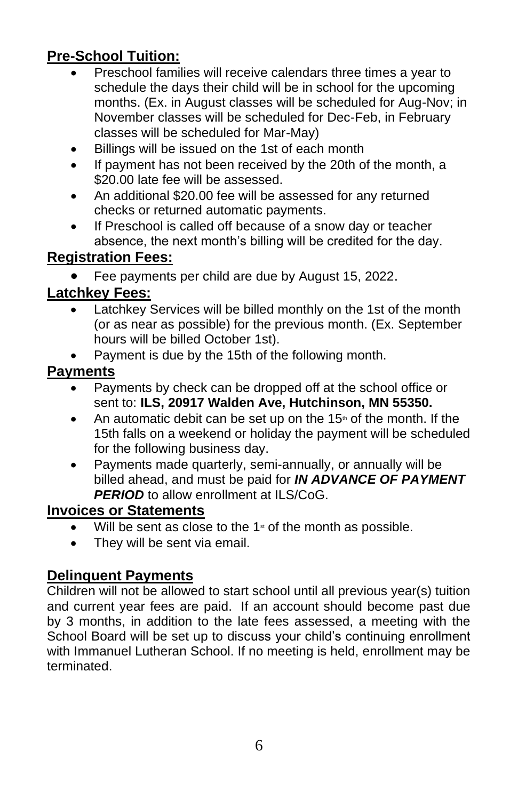# **Pre-School Tuition:**

- Preschool families will receive calendars three times a year to schedule the days their child will be in school for the upcoming months. (Ex. in August classes will be scheduled for Aug-Nov; in November classes will be scheduled for Dec-Feb, in February classes will be scheduled for Mar-May)
- Billings will be issued on the 1st of each month
- If payment has not been received by the 20th of the month, a \$20.00 late fee will be assessed.
- An additional \$20.00 fee will be assessed for any returned checks or returned automatic payments.
- If Preschool is called off because of a snow day or teacher absence, the next month's billing will be credited for the day.

### **Registration Fees:**

• Fee payments per child are due by August 15, 2022.

### **Latchkey Fees:**

- Latchkey Services will be billed monthly on the 1st of the month (or as near as possible) for the previous month. (Ex. September hours will be billed October 1st).
- Payment is due by the 15th of the following month.

### **Payments**

- Payments by check can be dropped off at the school office or sent to: **ILS, 20917 Walden Ave, Hutchinson, MN 55350.**
- An automatic debit can be set up on the  $15<sup>th</sup>$  of the month. If the 15th falls on a weekend or holiday the payment will be scheduled for the following business day.
- Payments made quarterly, semi-annually, or annually will be billed ahead, and must be paid for *IN ADVANCE OF PAYMENT*  **PERIOD** to allow enrollment at ILS/CoG.

### **Invoices or Statements**

- Will be sent as close to the  $1<sup>s</sup>$  of the month as possible.
- They will be sent via email.

### **Delinquent Payments**

Children will not be allowed to start school until all previous year(s) tuition and current year fees are paid. If an account should become past due by 3 months, in addition to the late fees assessed, a meeting with the School Board will be set up to discuss your child's continuing enrollment with Immanuel Lutheran School. If no meeting is held, enrollment may be terminated.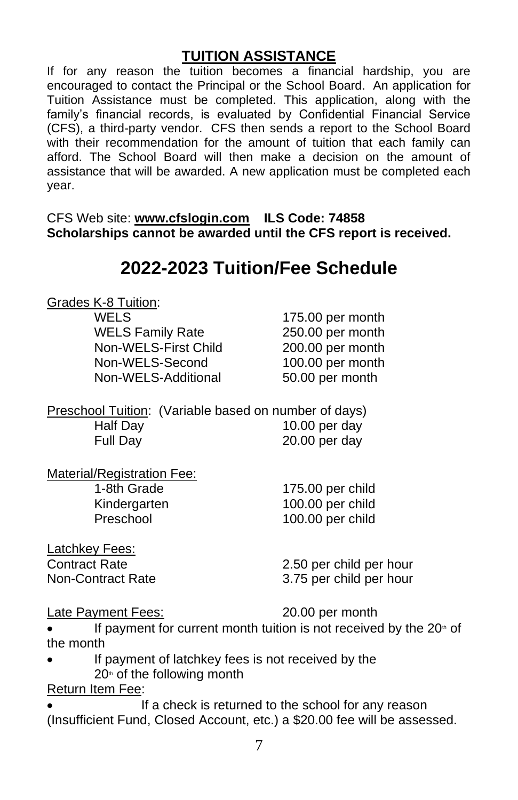### **TUITION ASSISTANCE**

If for any reason the tuition becomes a financial hardship, you are encouraged to contact the Principal or the School Board. An application for Tuition Assistance must be completed. This application, along with the family's financial records, is evaluated by Confidential Financial Service (CFS), a third-party vendor. CFS then sends a report to the School Board with their recommendation for the amount of tuition that each family can afford. The School Board will then make a decision on the amount of assistance that will be awarded. A new application must be completed each year.

CFS Web site: **[www.cfslogin.com](http://www.cfslogin.com/) ILS Code: 74858 Scholarships cannot be awarded until the CFS report is received.**

# **2022-2023 Tuition/Fee Schedule**

Grades K-8 Tuition:

WELS 175.00 per month WELS Family Rate 250.00 per month Non-WELS-First Child 200.00 per month Non-WELS-Second 100.00 per month Non-WELS-Additional 50.00 per month

Preschool Tuition: (Variable based on number of days) Half Day 10.00 per day Full Day 20.00 per day

| Material/Registration Fee: |                  |
|----------------------------|------------------|
| 1-8th Grade                | 175.00 per child |
| Kindergarten               | 100.00 per child |
| Preschool                  | 100.00 per child |
|                            |                  |

Latchkey Fees:

Contract Rate 2.50 per child per hour Non-Contract Rate 3.75 per child per hour

Late Payment Fees: 20.00 per month

If payment for current month tuition is not received by the  $20<sup>*</sup>$  of the month

If payment of latchkey fees is not received by the  $20<sup>th</sup>$  of the following month

Return Item Fee:

If a check is returned to the school for any reason (Insufficient Fund, Closed Account, etc.) a \$20.00 fee will be assessed.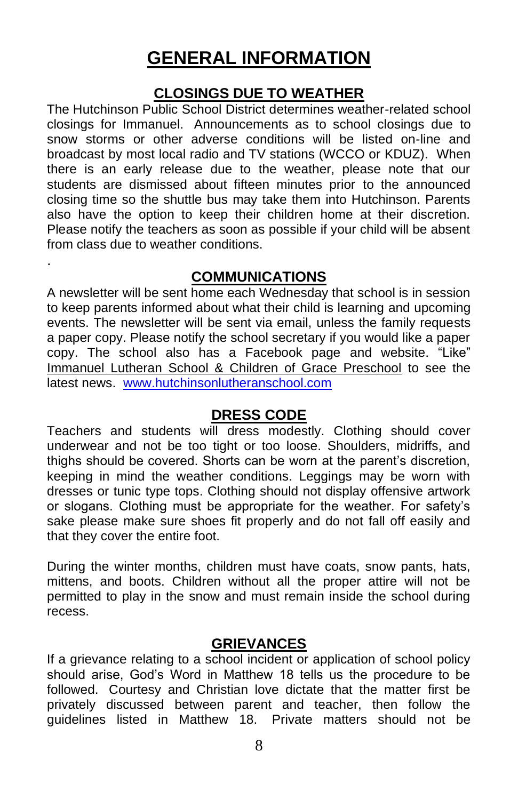# **GENERAL INFORMATION**

### **CLOSINGS DUE TO WEATHER**

The Hutchinson Public School District determines weather-related school closings for Immanuel. Announcements as to school closings due to snow storms or other adverse conditions will be listed on-line and broadcast by most local radio and TV stations (WCCO or KDUZ). When there is an early release due to the weather, please note that our students are dismissed about fifteen minutes prior to the announced closing time so the shuttle bus may take them into Hutchinson. Parents also have the option to keep their children home at their discretion. Please notify the teachers as soon as possible if your child will be absent from class due to weather conditions.

### **COMMUNICATIONS**

.

A newsletter will be sent home each Wednesday that school is in session to keep parents informed about what their child is learning and upcoming events. The newsletter will be sent via email, unless the family requests a paper copy. Please notify the school secretary if you would like a paper copy. The school also has a Facebook page and website. "Like" Immanuel Lutheran School & Children of Grace Preschool to see the latest news. [www.hutchinsonlutheranschool.com](http://www.hutchinsonlutheranschool.com/)

### **DRESS CODE**

Teachers and students will dress modestly. Clothing should cover underwear and not be too tight or too loose. Shoulders, midriffs, and thighs should be covered. Shorts can be worn at the parent's discretion, keeping in mind the weather conditions. Leggings may be worn with dresses or tunic type tops. Clothing should not display offensive artwork or slogans. Clothing must be appropriate for the weather. For safety's sake please make sure shoes fit properly and do not fall off easily and that they cover the entire foot.

During the winter months, children must have coats, snow pants, hats, mittens, and boots. Children without all the proper attire will not be permitted to play in the snow and must remain inside the school during recess.

### **GRIEVANCES**

If a grievance relating to a school incident or application of school policy should arise, God's Word in Matthew 18 tells us the procedure to be followed. Courtesy and Christian love dictate that the matter first be privately discussed between parent and teacher, then follow the guidelines listed in Matthew 18. Private matters should not be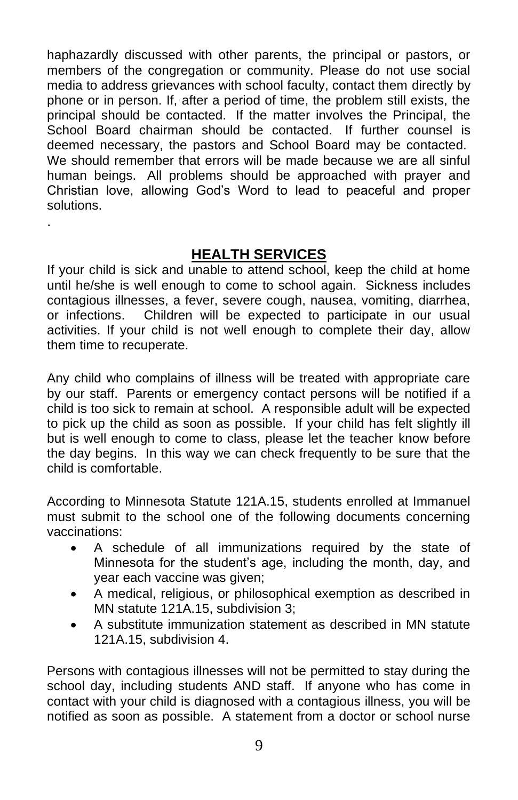haphazardly discussed with other parents, the principal or pastors, or members of the congregation or community. Please do not use social media to address grievances with school faculty, contact them directly by phone or in person. If, after a period of time, the problem still exists, the principal should be contacted. If the matter involves the Principal, the School Board chairman should be contacted. If further counsel is deemed necessary, the pastors and School Board may be contacted. We should remember that errors will be made because we are all sinful human beings. All problems should be approached with prayer and Christian love, allowing God's Word to lead to peaceful and proper solutions.

### **HEALTH SERVICES**

.

If your child is sick and unable to attend school, keep the child at home until he/she is well enough to come to school again. Sickness includes contagious illnesses, a fever, severe cough, nausea, vomiting, diarrhea, or infections. Children will be expected to participate in our usual activities. If your child is not well enough to complete their day, allow them time to recuperate.

Any child who complains of illness will be treated with appropriate care by our staff. Parents or emergency contact persons will be notified if a child is too sick to remain at school. A responsible adult will be expected to pick up the child as soon as possible. If your child has felt slightly ill but is well enough to come to class, please let the teacher know before the day begins. In this way we can check frequently to be sure that the child is comfortable.

According to Minnesota Statute 121A.15, students enrolled at Immanuel must submit to the school one of the following documents concerning vaccinations:

- A schedule of all immunizations required by the state of Minnesota for the student's age, including the month, day, and year each vaccine was given;
- A medical, religious, or philosophical exemption as described in MN statute 121A.15, subdivision 3;
- A substitute immunization statement as described in MN statute 121A.15, subdivision 4.

Persons with contagious illnesses will not be permitted to stay during the school day, including students AND staff. If anyone who has come in contact with your child is diagnosed with a contagious illness, you will be notified as soon as possible. A statement from a doctor or school nurse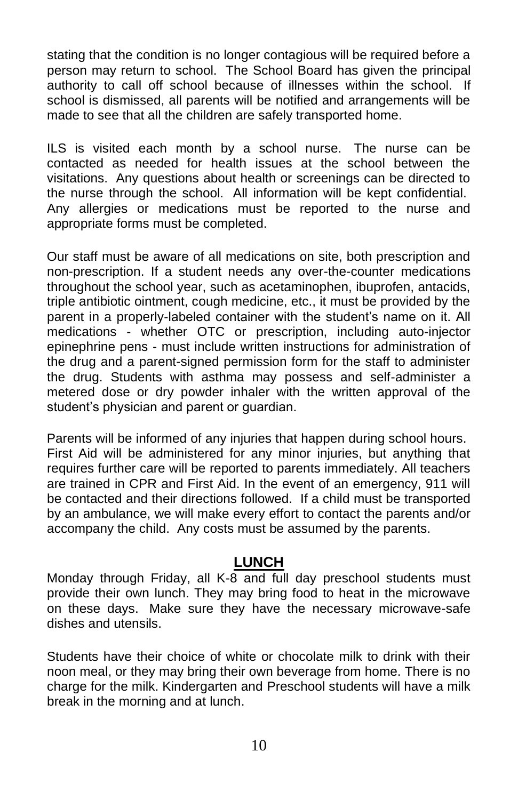stating that the condition is no longer contagious will be required before a person may return to school. The School Board has given the principal authority to call off school because of illnesses within the school. If school is dismissed, all parents will be notified and arrangements will be made to see that all the children are safely transported home.

ILS is visited each month by a school nurse. The nurse can be contacted as needed for health issues at the school between the visitations. Any questions about health or screenings can be directed to the nurse through the school. All information will be kept confidential. Any allergies or medications must be reported to the nurse and appropriate forms must be completed.

Our staff must be aware of all medications on site, both prescription and non-prescription. If a student needs any over-the-counter medications throughout the school year, such as acetaminophen, ibuprofen, antacids, triple antibiotic ointment, cough medicine, etc., it must be provided by the parent in a properly-labeled container with the student's name on it. All medications - whether OTC or prescription, including auto-injector epinephrine pens - must include written instructions for administration of the drug and a parent-signed permission form for the staff to administer the drug. Students with asthma may possess and self-administer a metered dose or dry powder inhaler with the written approval of the student's physician and parent or guardian.

Parents will be informed of any injuries that happen during school hours. First Aid will be administered for any minor injuries, but anything that requires further care will be reported to parents immediately. All teachers are trained in CPR and First Aid. In the event of an emergency, 911 will be contacted and their directions followed. If a child must be transported by an ambulance, we will make every effort to contact the parents and/or accompany the child. Any costs must be assumed by the parents.

### **LUNCH**

Monday through Friday, all K-8 and full day preschool students must provide their own lunch. They may bring food to heat in the microwave on these days. Make sure they have the necessary microwave-safe dishes and utensils.

Students have their choice of white or chocolate milk to drink with their noon meal, or they may bring their own beverage from home. There is no charge for the milk. Kindergarten and Preschool students will have a milk break in the morning and at lunch.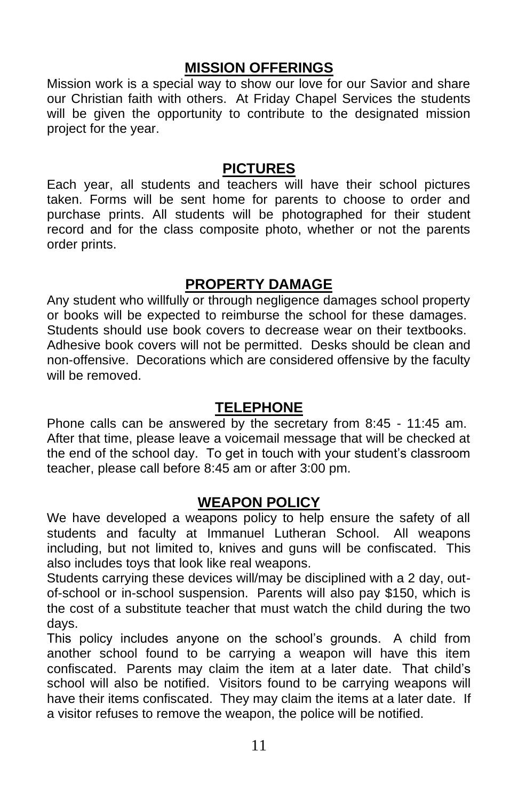### **MISSION OFFERINGS**

Mission work is a special way to show our love for our Savior and share our Christian faith with others. At Friday Chapel Services the students will be given the opportunity to contribute to the designated mission project for the year.

#### **PICTURES**

Each year, all students and teachers will have their school pictures taken. Forms will be sent home for parents to choose to order and purchase prints. All students will be photographed for their student record and for the class composite photo, whether or not the parents order prints.

### **PROPERTY DAMAGE**

Any student who willfully or through negligence damages school property or books will be expected to reimburse the school for these damages. Students should use book covers to decrease wear on their textbooks. Adhesive book covers will not be permitted. Desks should be clean and non-offensive. Decorations which are considered offensive by the faculty will be removed.

### **TELEPHONE**

Phone calls can be answered by the secretary from 8:45 - 11:45 am. After that time, please leave a voicemail message that will be checked at the end of the school day. To get in touch with your student's classroom teacher, please call before 8:45 am or after 3:00 pm.

### **WEAPON POLICY**

We have developed a weapons policy to help ensure the safety of all students and faculty at Immanuel Lutheran School. All weapons including, but not limited to, knives and guns will be confiscated. This also includes toys that look like real weapons.

Students carrying these devices will/may be disciplined with a 2 day, outof-school or in-school suspension. Parents will also pay \$150, which is the cost of a substitute teacher that must watch the child during the two days.

This policy includes anyone on the school's grounds. A child from another school found to be carrying a weapon will have this item confiscated. Parents may claim the item at a later date. That child's school will also be notified. Visitors found to be carrying weapons will have their items confiscated. They may claim the items at a later date. If a visitor refuses to remove the weapon, the police will be notified.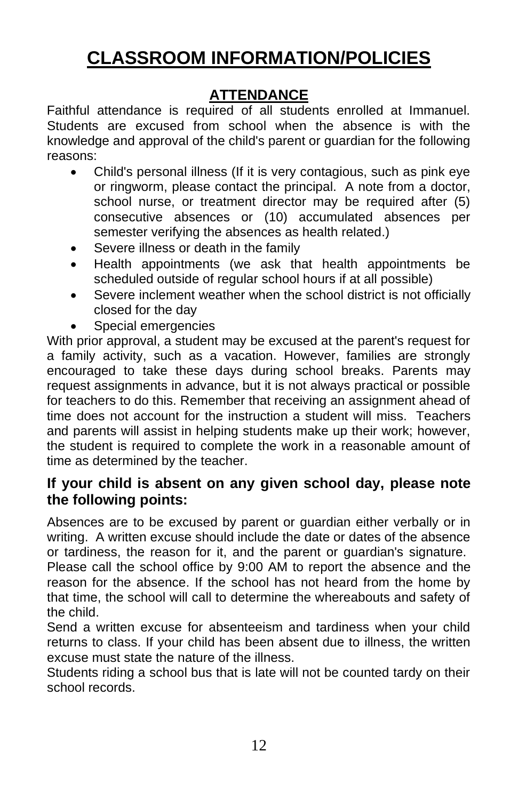# **CLASSROOM INFORMATION/POLICIES**

# **ATTENDANCE**

Faithful attendance is required of all students enrolled at Immanuel. Students are excused from school when the absence is with the knowledge and approval of the child's parent or guardian for the following reasons:

- Child's personal illness (If it is very contagious, such as pink eye or ringworm, please contact the principal. A note from a doctor, school nurse, or treatment director may be required after (5) consecutive absences or (10) accumulated absences per semester verifying the absences as health related.)
- Severe illness or death in the family
- Health appointments (we ask that health appointments be scheduled outside of regular school hours if at all possible)
- Severe inclement weather when the school district is not officially closed for the day
- Special emergencies

With prior approval, a student may be excused at the parent's request for a family activity, such as a vacation. However, families are strongly encouraged to take these days during school breaks. Parents may request assignments in advance, but it is not always practical or possible for teachers to do this. Remember that receiving an assignment ahead of time does not account for the instruction a student will miss. Teachers and parents will assist in helping students make up their work; however, the student is required to complete the work in a reasonable amount of time as determined by the teacher.

### **If your child is absent on any given school day, please note the following points:**

Absences are to be excused by parent or guardian either verbally or in writing. A written excuse should include the date or dates of the absence or tardiness, the reason for it, and the parent or guardian's signature.

Please call the school office by 9:00 AM to report the absence and the reason for the absence. If the school has not heard from the home by that time, the school will call to determine the whereabouts and safety of the child.

Send a written excuse for absenteeism and tardiness when your child returns to class. If your child has been absent due to illness, the written excuse must state the nature of the illness.

Students riding a school bus that is late will not be counted tardy on their school records.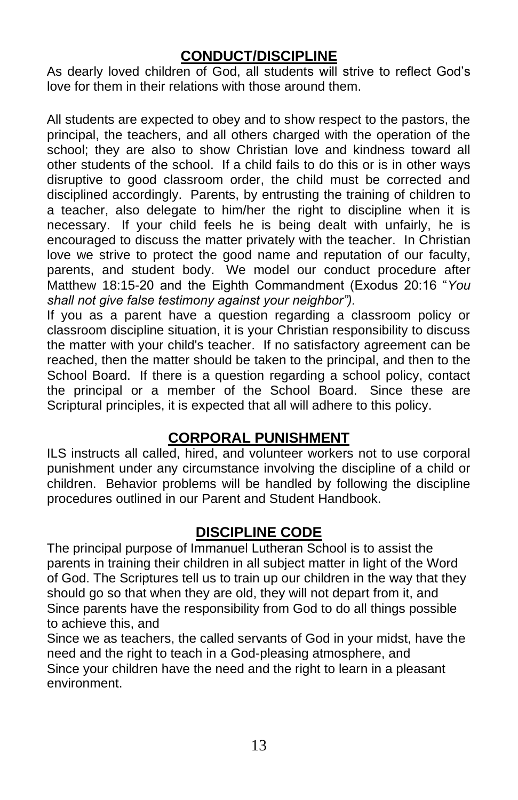### **CONDUCT/DISCIPLINE**

As dearly loved children of God, all students will strive to reflect God's love for them in their relations with those around them.

All students are expected to obey and to show respect to the pastors, the principal, the teachers, and all others charged with the operation of the school; they are also to show Christian love and kindness toward all other students of the school. If a child fails to do this or is in other ways disruptive to good classroom order, the child must be corrected and disciplined accordingly. Parents, by entrusting the training of children to a teacher, also delegate to him/her the right to discipline when it is necessary. If your child feels he is being dealt with unfairly, he is encouraged to discuss the matter privately with the teacher. In Christian love we strive to protect the good name and reputation of our faculty, parents, and student body. We model our conduct procedure after Matthew 18:15-20 and the Eighth Commandment (Exodus 20:16 "*You shall not give false testimony against your neighbor").*

If you as a parent have a question regarding a classroom policy or classroom discipline situation, it is your Christian responsibility to discuss the matter with your child's teacher. If no satisfactory agreement can be reached, then the matter should be taken to the principal, and then to the School Board. If there is a question regarding a school policy, contact the principal or a member of the School Board. Since these are Scriptural principles, it is expected that all will adhere to this policy.

### **CORPORAL PUNISHMENT**

ILS instructs all called, hired, and volunteer workers not to use corporal punishment under any circumstance involving the discipline of a child or children. Behavior problems will be handled by following the discipline procedures outlined in our Parent and Student Handbook.

# **DISCIPLINE CODE**

The principal purpose of Immanuel Lutheran School is to assist the parents in training their children in all subject matter in light of the Word of God. The Scriptures tell us to train up our children in the way that they should go so that when they are old, they will not depart from it, and Since parents have the responsibility from God to do all things possible to achieve this, and

Since we as teachers, the called servants of God in your midst, have the need and the right to teach in a God-pleasing atmosphere, and Since your children have the need and the right to learn in a pleasant environment.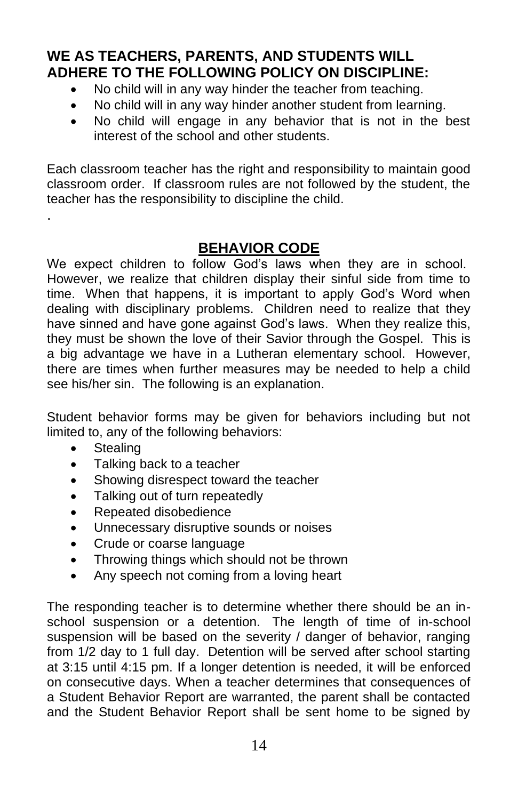## **WE AS TEACHERS, PARENTS, AND STUDENTS WILL ADHERE TO THE FOLLOWING POLICY ON DISCIPLINE:**

- No child will in any way hinder the teacher from teaching.
- No child will in any way hinder another student from learning.
- No child will engage in any behavior that is not in the best interest of the school and other students.

Each classroom teacher has the right and responsibility to maintain good classroom order. If classroom rules are not followed by the student, the teacher has the responsibility to discipline the child.

# **BEHAVIOR CODE**

We expect children to follow God's laws when they are in school. However, we realize that children display their sinful side from time to time. When that happens, it is important to apply God's Word when dealing with disciplinary problems. Children need to realize that they have sinned and have gone against God's laws. When they realize this, they must be shown the love of their Savior through the Gospel. This is a big advantage we have in a Lutheran elementary school. However, there are times when further measures may be needed to help a child see his/her sin. The following is an explanation.

Student behavior forms may be given for behaviors including but not limited to, any of the following behaviors:

**Stealing** 

.

- Talking back to a teacher
- Showing disrespect toward the teacher
- Talking out of turn repeatedly
- Repeated disobedience
- Unnecessary disruptive sounds or noises
- Crude or coarse language
- Throwing things which should not be thrown
- Any speech not coming from a loving heart

The responding teacher is to determine whether there should be an inschool suspension or a detention. The length of time of in-school suspension will be based on the severity / danger of behavior, ranging from 1/2 day to 1 full day. Detention will be served after school starting at 3:15 until 4:15 pm. If a longer detention is needed, it will be enforced on consecutive days. When a teacher determines that consequences of a Student Behavior Report are warranted, the parent shall be contacted and the Student Behavior Report shall be sent home to be signed by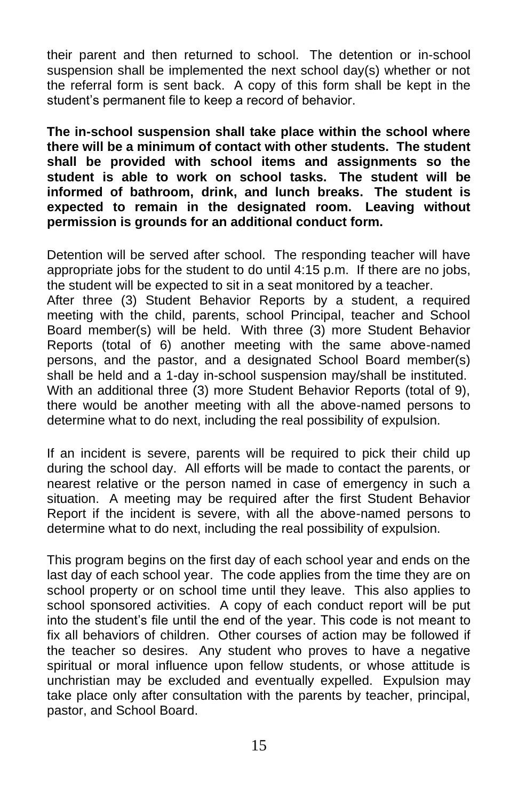their parent and then returned to school. The detention or in-school suspension shall be implemented the next school day(s) whether or not the referral form is sent back. A copy of this form shall be kept in the student's permanent file to keep a record of behavior.

**The in-school suspension shall take place within the school where there will be a minimum of contact with other students. The student shall be provided with school items and assignments so the student is able to work on school tasks. The student will be informed of bathroom, drink, and lunch breaks. The student is expected to remain in the designated room. Leaving without permission is grounds for an additional conduct form.**

Detention will be served after school. The responding teacher will have appropriate jobs for the student to do until 4:15 p.m. If there are no jobs, the student will be expected to sit in a seat monitored by a teacher.

After three (3) Student Behavior Reports by a student, a required meeting with the child, parents, school Principal, teacher and School Board member(s) will be held. With three (3) more Student Behavior Reports (total of 6) another meeting with the same above-named persons, and the pastor, and a designated School Board member(s) shall be held and a 1-day in-school suspension may/shall be instituted. With an additional three (3) more Student Behavior Reports (total of 9), there would be another meeting with all the above-named persons to determine what to do next, including the real possibility of expulsion.

If an incident is severe, parents will be required to pick their child up during the school day. All efforts will be made to contact the parents, or nearest relative or the person named in case of emergency in such a situation. A meeting may be required after the first Student Behavior Report if the incident is severe, with all the above-named persons to determine what to do next, including the real possibility of expulsion.

This program begins on the first day of each school year and ends on the last day of each school year. The code applies from the time they are on school property or on school time until they leave. This also applies to school sponsored activities. A copy of each conduct report will be put into the student's file until the end of the year. This code is not meant to fix all behaviors of children. Other courses of action may be followed if the teacher so desires. Any student who proves to have a negative spiritual or moral influence upon fellow students, or whose attitude is unchristian may be excluded and eventually expelled. Expulsion may take place only after consultation with the parents by teacher, principal, pastor, and School Board.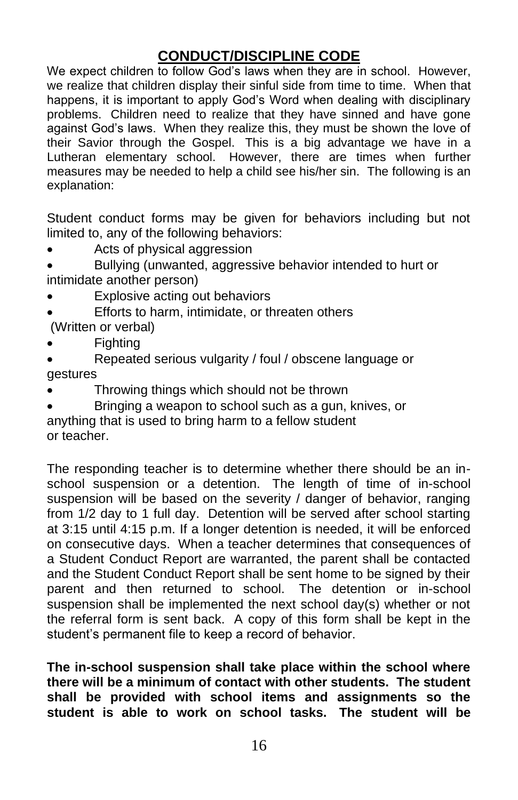## **CONDUCT/DISCIPLINE CODE**

We expect children to follow God's laws when they are in school. However, we realize that children display their sinful side from time to time. When that happens, it is important to apply God's Word when dealing with disciplinary problems. Children need to realize that they have sinned and have gone against God's laws. When they realize this, they must be shown the love of their Savior through the Gospel. This is a big advantage we have in a Lutheran elementary school. However, there are times when further measures may be needed to help a child see his/her sin. The following is an explanation:

Student conduct forms may be given for behaviors including but not limited to, any of the following behaviors:

Acts of physical aggression

• Bullying (unwanted, aggressive behavior intended to hurt or intimidate another person)

- Explosive acting out behaviors
- Efforts to harm, intimidate, or threaten others (Written or verbal)
- Fighting
- Repeated serious vulgarity / foul / obscene language or gestures
- Throwing things which should not be thrown
- Bringing a weapon to school such as a gun, knives, or anything that is used to bring harm to a fellow student or teacher.

The responding teacher is to determine whether there should be an inschool suspension or a detention. The length of time of in-school suspension will be based on the severity / danger of behavior, ranging from 1/2 day to 1 full day. Detention will be served after school starting at 3:15 until 4:15 p.m. If a longer detention is needed, it will be enforced on consecutive days. When a teacher determines that consequences of a Student Conduct Report are warranted, the parent shall be contacted and the Student Conduct Report shall be sent home to be signed by their parent and then returned to school. The detention or in-school suspension shall be implemented the next school day(s) whether or not the referral form is sent back. A copy of this form shall be kept in the student's permanent file to keep a record of behavior.

**The in-school suspension shall take place within the school where there will be a minimum of contact with other students. The student shall be provided with school items and assignments so the student is able to work on school tasks. The student will be**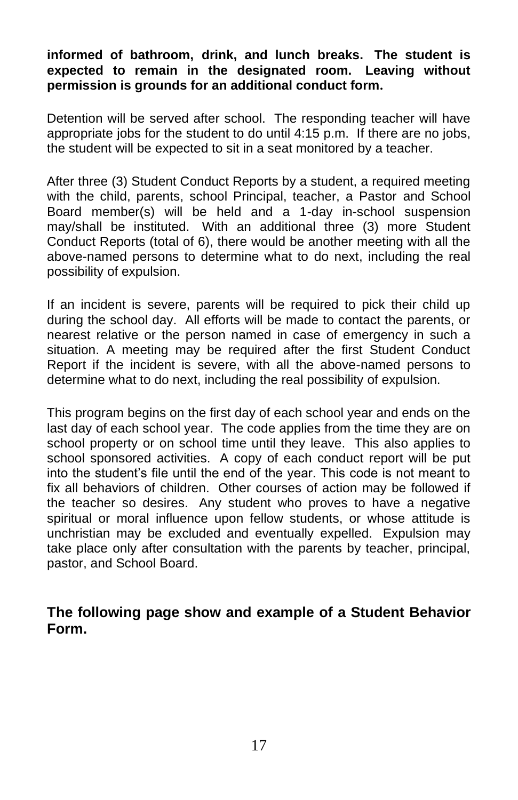#### **informed of bathroom, drink, and lunch breaks. The student is expected to remain in the designated room. Leaving without permission is grounds for an additional conduct form.**

Detention will be served after school. The responding teacher will have appropriate jobs for the student to do until 4:15 p.m. If there are no jobs, the student will be expected to sit in a seat monitored by a teacher.

After three (3) Student Conduct Reports by a student, a required meeting with the child, parents, school Principal, teacher, a Pastor and School Board member(s) will be held and a 1-day in-school suspension may/shall be instituted. With an additional three (3) more Student Conduct Reports (total of 6), there would be another meeting with all the above-named persons to determine what to do next, including the real possibility of expulsion.

If an incident is severe, parents will be required to pick their child up during the school day. All efforts will be made to contact the parents, or nearest relative or the person named in case of emergency in such a situation. A meeting may be required after the first Student Conduct Report if the incident is severe, with all the above-named persons to determine what to do next, including the real possibility of expulsion.

This program begins on the first day of each school year and ends on the last day of each school year. The code applies from the time they are on school property or on school time until they leave. This also applies to school sponsored activities. A copy of each conduct report will be put into the student's file until the end of the year. This code is not meant to fix all behaviors of children. Other courses of action may be followed if the teacher so desires. Any student who proves to have a negative spiritual or moral influence upon fellow students, or whose attitude is unchristian may be excluded and eventually expelled. Expulsion may take place only after consultation with the parents by teacher, principal, pastor, and School Board.

**The following page show and example of a Student Behavior Form.**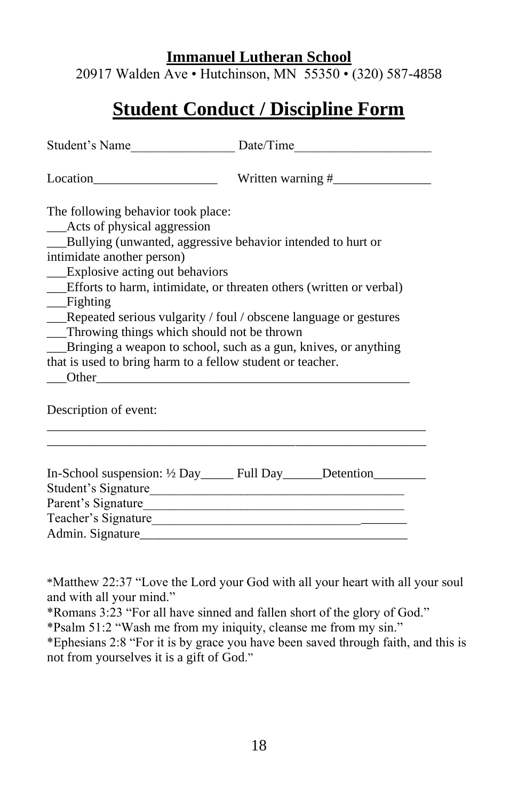#### **Immanuel Lutheran School**

20917 Walden Ave • Hutchinson, MN 55350 • (320) 587-4858

# **Student Conduct / Discipline Form**

| The following behavior took place:<br>__Acts of physical aggression<br>__Bullying (unwanted, aggressive behavior intended to hurt or<br>intimidate another person)<br>__Explosive acting out behaviors<br>__Efforts to harm, intimidate, or threaten others (written or verbal)<br>$\equiv$ Fighting<br>__Repeated serious vulgarity / foul / obscene language or gestures<br>__Throwing things which should not be thrown<br>__Bringing a weapon to school, such as a gun, knives, or anything<br>that is used to bring harm to a fellow student or teacher. |  |  |  |
|---------------------------------------------------------------------------------------------------------------------------------------------------------------------------------------------------------------------------------------------------------------------------------------------------------------------------------------------------------------------------------------------------------------------------------------------------------------------------------------------------------------------------------------------------------------|--|--|--|
| Description of event:                                                                                                                                                                                                                                                                                                                                                                                                                                                                                                                                         |  |  |  |
| In-School suspension: 1/2 Day ______ Full Day ______Detention ________<br>Student's Signature<br>Teacher's Signature                                                                                                                                                                                                                                                                                                                                                                                                                                          |  |  |  |

\*Matthew 22:37 "Love the Lord your God with all your heart with all your soul and with all your mind."

\*Romans 3:23 "For all have sinned and fallen short of the glory of God."

\*Psalm 51:2 "Wash me from my iniquity, cleanse me from my sin."

\*Ephesians 2:8 "For it is by grace you have been saved through faith, and this is not from yourselves it is a gift of God."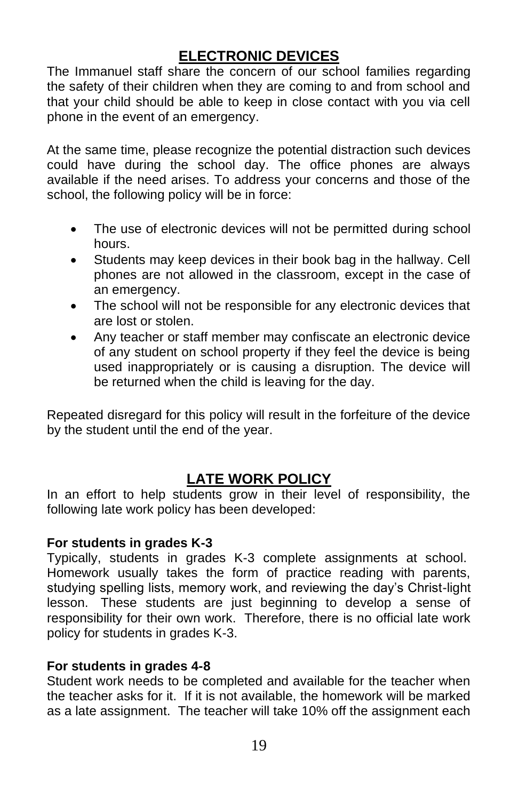# **ELECTRONIC DEVICES**

The Immanuel staff share the concern of our school families regarding the safety of their children when they are coming to and from school and that your child should be able to keep in close contact with you via cell phone in the event of an emergency.

At the same time, please recognize the potential distraction such devices could have during the school day. The office phones are always available if the need arises. To address your concerns and those of the school, the following policy will be in force:

- The use of electronic devices will not be permitted during school hours.
- Students may keep devices in their book bag in the hallway. Cell phones are not allowed in the classroom, except in the case of an emergency.
- The school will not be responsible for any electronic devices that are lost or stolen.
- Any teacher or staff member may confiscate an electronic device of any student on school property if they feel the device is being used inappropriately or is causing a disruption. The device will be returned when the child is leaving for the day.

Repeated disregard for this policy will result in the forfeiture of the device by the student until the end of the year.

# **LATE WORK POLICY**

In an effort to help students grow in their level of responsibility, the following late work policy has been developed:

#### **For students in grades K-3**

Typically, students in grades K-3 complete assignments at school. Homework usually takes the form of practice reading with parents, studying spelling lists, memory work, and reviewing the day's Christ-light lesson. These students are just beginning to develop a sense of responsibility for their own work. Therefore, there is no official late work policy for students in grades K-3.

#### **For students in grades 4-8**

Student work needs to be completed and available for the teacher when the teacher asks for it. If it is not available, the homework will be marked as a late assignment. The teacher will take 10% off the assignment each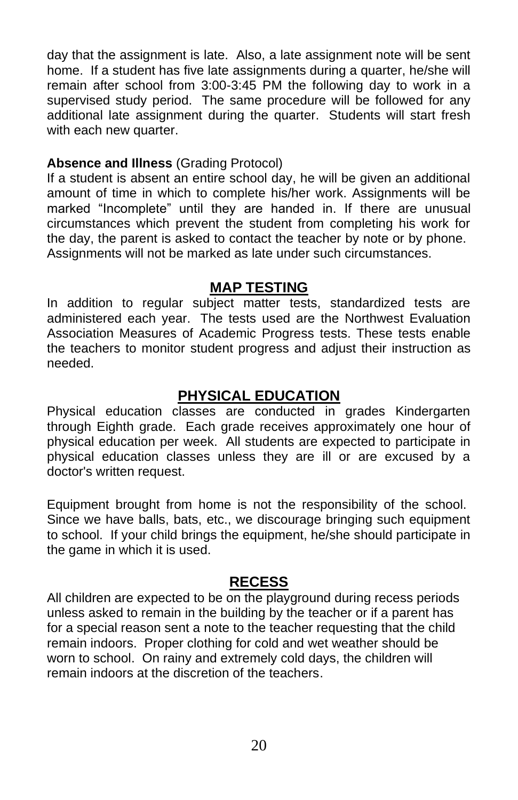day that the assignment is late. Also, a late assignment note will be sent home. If a student has five late assignments during a quarter, he/she will remain after school from 3:00-3:45 PM the following day to work in a supervised study period. The same procedure will be followed for any additional late assignment during the quarter. Students will start fresh with each new quarter.

#### **Absence and Illness** (Grading Protocol)

If a student is absent an entire school day, he will be given an additional amount of time in which to complete his/her work. Assignments will be marked "Incomplete" until they are handed in. If there are unusual circumstances which prevent the student from completing his work for the day, the parent is asked to contact the teacher by note or by phone. Assignments will not be marked as late under such circumstances.

### **MAP TESTING**

In addition to regular subject matter tests, standardized tests are administered each year. The tests used are the Northwest Evaluation Association Measures of Academic Progress tests. These tests enable the teachers to monitor student progress and adjust their instruction as needed.

### **PHYSICAL EDUCATION**

Physical education classes are conducted in grades Kindergarten through Eighth grade. Each grade receives approximately one hour of physical education per week. All students are expected to participate in physical education classes unless they are ill or are excused by a doctor's written request.

Equipment brought from home is not the responsibility of the school. Since we have balls, bats, etc., we discourage bringing such equipment to school. If your child brings the equipment, he/she should participate in the game in which it is used.

### **RECESS**

All children are expected to be on the playground during recess periods unless asked to remain in the building by the teacher or if a parent has for a special reason sent a note to the teacher requesting that the child remain indoors. Proper clothing for cold and wet weather should be worn to school. On rainy and extremely cold days, the children will remain indoors at the discretion of the teachers.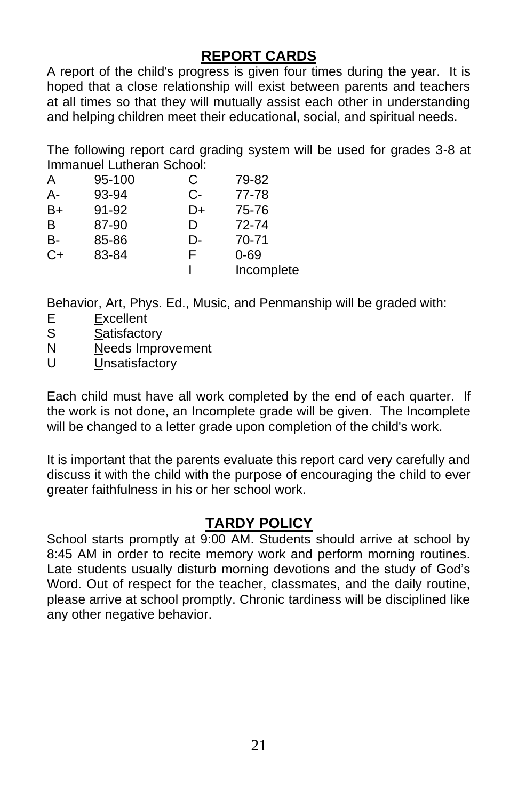## **REPORT CARDS**

A report of the child's progress is given four times during the year. It is hoped that a close relationship will exist between parents and teachers at all times so that they will mutually assist each other in understanding and helping children meet their educational, social, and spiritual needs.

The following report card grading system will be used for grades 3-8 at Immanuel Lutheran School:

| Α    | 95-100 | C  | 79-82      |
|------|--------|----|------------|
| А-   | 93-94  | C- | 77-78      |
| $B+$ | 91-92  | D+ | 75-76      |
| B    | 87-90  | D  | 72-74      |
| В-   | 85-86  | D- | 70-71      |
| $C+$ | 83-84  | F  | $0 - 69$   |
|      |        |    | Incomplete |

Behavior, Art, Phys. Ed., Music, and Penmanship will be graded with:

- E Excellent
- S Satisfactory
- N Needs Improvement
- U Unsatisfactory

Each child must have all work completed by the end of each quarter. If the work is not done, an Incomplete grade will be given. The Incomplete will be changed to a letter grade upon completion of the child's work.

It is important that the parents evaluate this report card very carefully and discuss it with the child with the purpose of encouraging the child to ever greater faithfulness in his or her school work.

### **TARDY POLICY**

School starts promptly at 9:00 AM. Students should arrive at school by 8:45 AM in order to recite memory work and perform morning routines. Late students usually disturb morning devotions and the study of God's Word. Out of respect for the teacher, classmates, and the daily routine, please arrive at school promptly. Chronic tardiness will be disciplined like any other negative behavior.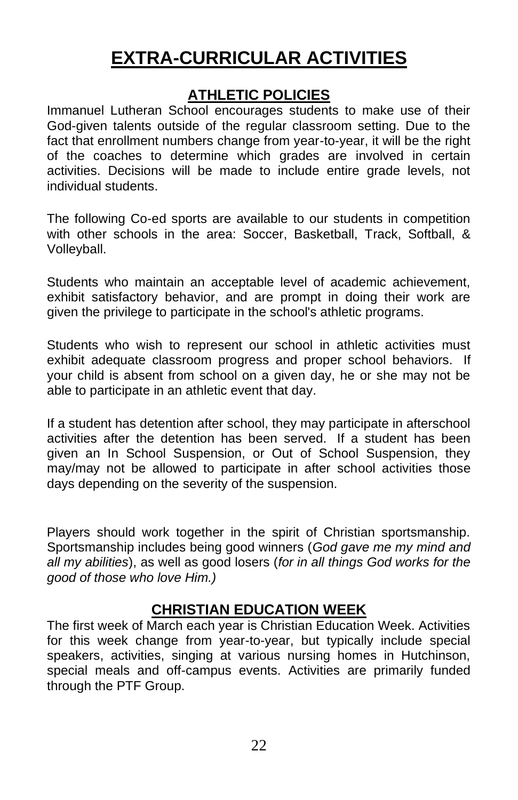# **EXTRA-CURRICULAR ACTIVITIES**

### **ATHLETIC POLICIES**

Immanuel Lutheran School encourages students to make use of their God-given talents outside of the regular classroom setting. Due to the fact that enrollment numbers change from year-to-year, it will be the right of the coaches to determine which grades are involved in certain activities. Decisions will be made to include entire grade levels, not individual students.

The following Co-ed sports are available to our students in competition with other schools in the area: Soccer, Basketball, Track, Softball, & Volleyball.

Students who maintain an acceptable level of academic achievement, exhibit satisfactory behavior, and are prompt in doing their work are given the privilege to participate in the school's athletic programs.

Students who wish to represent our school in athletic activities must exhibit adequate classroom progress and proper school behaviors. If your child is absent from school on a given day, he or she may not be able to participate in an athletic event that day.

If a student has detention after school, they may participate in afterschool activities after the detention has been served. If a student has been given an In School Suspension, or Out of School Suspension, they may/may not be allowed to participate in after school activities those days depending on the severity of the suspension.

Players should work together in the spirit of Christian sportsmanship. Sportsmanship includes being good winners (*God gave me my mind and all my abilities*), as well as good losers (*for in all things God works for the good of those who love Him.)*

### **CHRISTIAN EDUCATION WEEK**

The first week of March each year is Christian Education Week. Activities for this week change from year-to-year, but typically include special speakers, activities, singing at various nursing homes in Hutchinson, special meals and off-campus events. Activities are primarily funded through the PTF Group.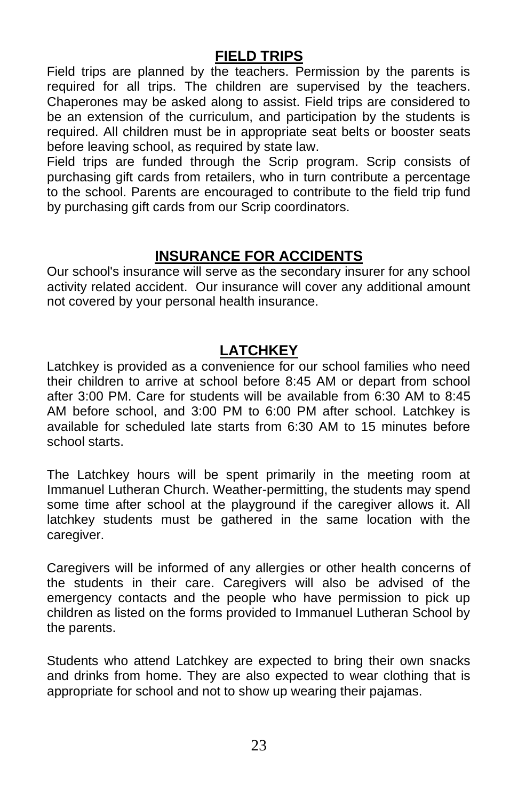### **FIELD TRIPS**

Field trips are planned by the teachers. Permission by the parents is required for all trips. The children are supervised by the teachers. Chaperones may be asked along to assist. Field trips are considered to be an extension of the curriculum, and participation by the students is required. All children must be in appropriate seat belts or booster seats before leaving school, as required by state law.

Field trips are funded through the Scrip program. Scrip consists of purchasing gift cards from retailers, who in turn contribute a percentage to the school. Parents are encouraged to contribute to the field trip fund by purchasing gift cards from our Scrip coordinators.

### **INSURANCE FOR ACCIDENTS**

Our school's insurance will serve as the secondary insurer for any school activity related accident. Our insurance will cover any additional amount not covered by your personal health insurance.

## **LATCHKEY**

Latchkey is provided as a convenience for our school families who need their children to arrive at school before 8:45 AM or depart from school after 3:00 PM. Care for students will be available from 6:30 AM to 8:45 AM before school, and 3:00 PM to 6:00 PM after school. Latchkey is available for scheduled late starts from 6:30 AM to 15 minutes before school starts.

The Latchkey hours will be spent primarily in the meeting room at Immanuel Lutheran Church. Weather-permitting, the students may spend some time after school at the playground if the caregiver allows it. All latchkey students must be gathered in the same location with the caregiver.

Caregivers will be informed of any allergies or other health concerns of the students in their care. Caregivers will also be advised of the emergency contacts and the people who have permission to pick up children as listed on the forms provided to Immanuel Lutheran School by the parents.

Students who attend Latchkey are expected to bring their own snacks and drinks from home. They are also expected to wear clothing that is appropriate for school and not to show up wearing their pajamas.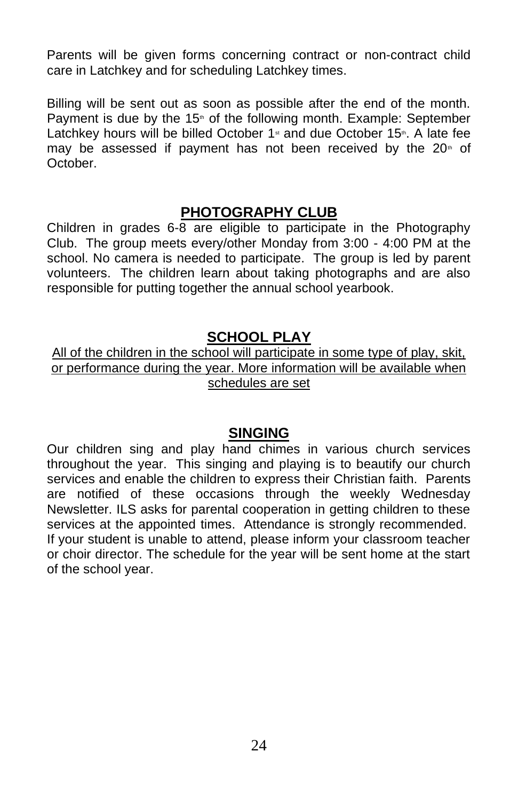Parents will be given forms concerning contract or non-contract child care in Latchkey and for scheduling Latchkey times.

Billing will be sent out as soon as possible after the end of the month. Payment is due by the  $15<sup>*</sup>$  of the following month. Example: September Latchkey hours will be billed October 1<sup>st</sup> and due October 15<sup>th</sup>. A late fee may be assessed if payment has not been received by the  $20<sup>th</sup>$  of October.

#### **PHOTOGRAPHY CLUB**

Children in grades 6-8 are eligible to participate in the Photography Club. The group meets every/other Monday from 3:00 - 4:00 PM at the school. No camera is needed to participate. The group is led by parent volunteers. The children learn about taking photographs and are also responsible for putting together the annual school yearbook.

### **SCHOOL PLAY**

All of the children in the school will participate in some type of play, skit, or performance during the year. More information will be available when schedules are set

#### **SINGING**

Our children sing and play hand chimes in various church services throughout the year. This singing and playing is to beautify our church services and enable the children to express their Christian faith. Parents are notified of these occasions through the weekly Wednesday Newsletter. ILS asks for parental cooperation in getting children to these services at the appointed times. Attendance is strongly recommended. If your student is unable to attend, please inform your classroom teacher or choir director. The schedule for the year will be sent home at the start of the school year.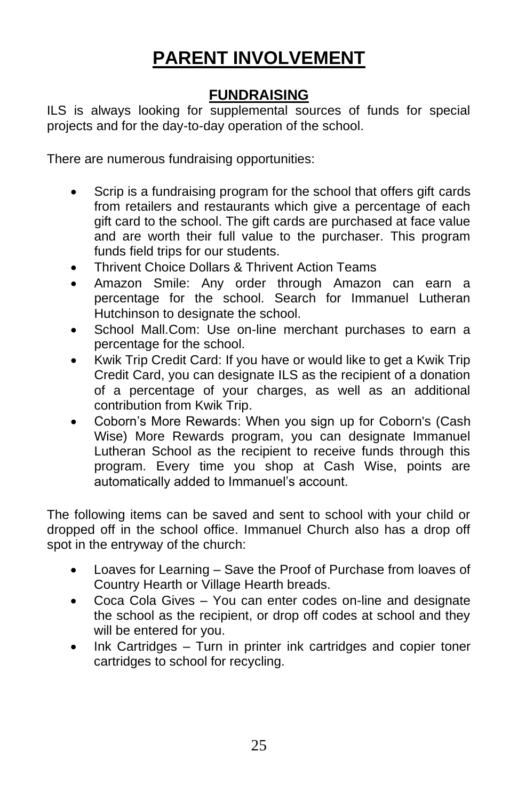# **PARENT INVOLVEMENT**

## **FUNDRAISING**

ILS is always looking for supplemental sources of funds for special projects and for the day-to-day operation of the school.

There are numerous fundraising opportunities:

- Scrip is a fundraising program for the school that offers gift cards from retailers and restaurants which give a percentage of each gift card to the school. The gift cards are purchased at face value and are worth their full value to the purchaser. This program funds field trips for our students.
- Thrivent Choice Dollars & Thrivent Action Teams
- Amazon Smile: Any order through Amazon can earn a percentage for the school. Search for Immanuel Lutheran Hutchinson to designate the school.
- School Mall.Com: Use on-line merchant purchases to earn a percentage for the school.
- Kwik Trip Credit Card: If you have or would like to get a Kwik Trip Credit Card, you can designate ILS as the recipient of a donation of a percentage of your charges, as well as an additional contribution from Kwik Trip.
- Coborn's More Rewards: When you sign up for Coborn's (Cash Wise) More Rewards program, you can designate Immanuel Lutheran School as the recipient to receive funds through this program. Every time you shop at Cash Wise, points are automatically added to Immanuel's account.

The following items can be saved and sent to school with your child or dropped off in the school office. Immanuel Church also has a drop off spot in the entryway of the church:

- Loaves for Learning Save the Proof of Purchase from loaves of Country Hearth or Village Hearth breads.
- Coca Cola Gives You can enter codes on-line and designate the school as the recipient, or drop off codes at school and they will be entered for you.
- Ink Cartridges Turn in printer ink cartridges and copier toner cartridges to school for recycling.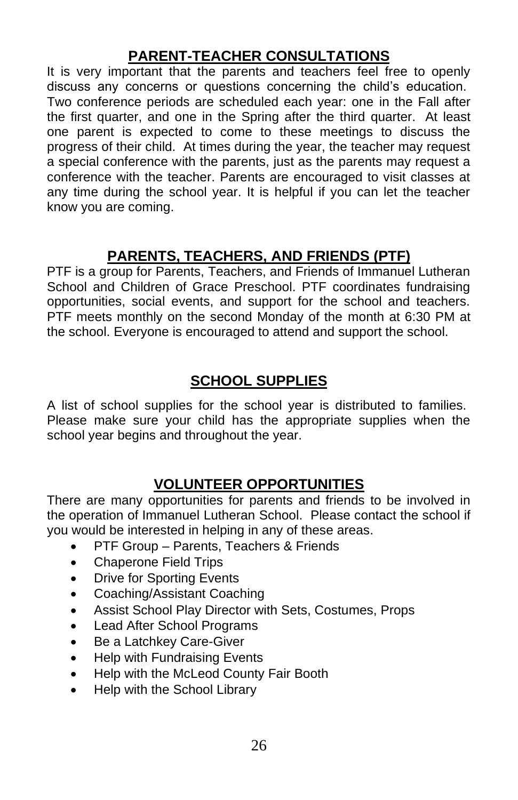# **PARENT-TEACHER CONSULTATIONS**

It is very important that the parents and teachers feel free to openly discuss any concerns or questions concerning the child's education. Two conference periods are scheduled each year: one in the Fall after the first quarter, and one in the Spring after the third quarter. At least one parent is expected to come to these meetings to discuss the progress of their child. At times during the year, the teacher may request a special conference with the parents, just as the parents may request a conference with the teacher. Parents are encouraged to visit classes at any time during the school year. It is helpful if you can let the teacher know you are coming.

# **PARENTS, TEACHERS, AND FRIENDS (PTF)**

PTF is a group for Parents, Teachers, and Friends of Immanuel Lutheran School and Children of Grace Preschool. PTF coordinates fundraising opportunities, social events, and support for the school and teachers. PTF meets monthly on the second Monday of the month at 6:30 PM at the school. Everyone is encouraged to attend and support the school.

# **SCHOOL SUPPLIES**

A list of school supplies for the school year is distributed to families. Please make sure your child has the appropriate supplies when the school year begins and throughout the year.

# **VOLUNTEER OPPORTUNITIES**

There are many opportunities for parents and friends to be involved in the operation of Immanuel Lutheran School. Please contact the school if you would be interested in helping in any of these areas.

- PTF Group Parents, Teachers & Friends
- Chaperone Field Trips
- **Drive for Sporting Events**
- Coaching/Assistant Coaching
- Assist School Play Director with Sets, Costumes, Props
- Lead After School Programs
- Be a Latchkey Care-Giver
- Help with Fundraising Events
- Help with the McLeod County Fair Booth
- Help with the School Library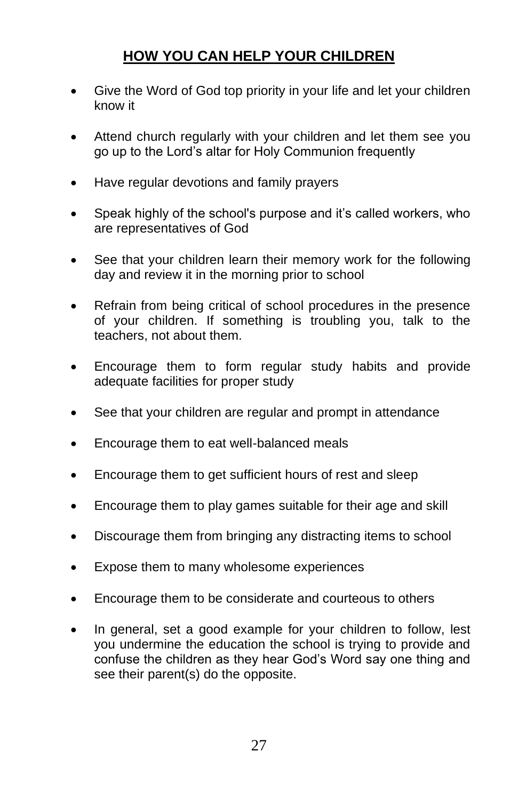# **HOW YOU CAN HELP YOUR CHILDREN**

- Give the Word of God top priority in your life and let your children know it
- Attend church regularly with your children and let them see you go up to the Lord's altar for Holy Communion frequently
- Have regular devotions and family prayers
- Speak highly of the school's purpose and it's called workers, who are representatives of God
- See that your children learn their memory work for the following day and review it in the morning prior to school
- Refrain from being critical of school procedures in the presence of your children. If something is troubling you, talk to the teachers, not about them.
- Encourage them to form regular study habits and provide adequate facilities for proper study
- See that your children are regular and prompt in attendance
- Encourage them to eat well-balanced meals
- Encourage them to get sufficient hours of rest and sleep
- Encourage them to play games suitable for their age and skill
- Discourage them from bringing any distracting items to school
- Expose them to many wholesome experiences
- Encourage them to be considerate and courteous to others
- In general, set a good example for your children to follow, lest you undermine the education the school is trying to provide and confuse the children as they hear God's Word say one thing and see their parent(s) do the opposite.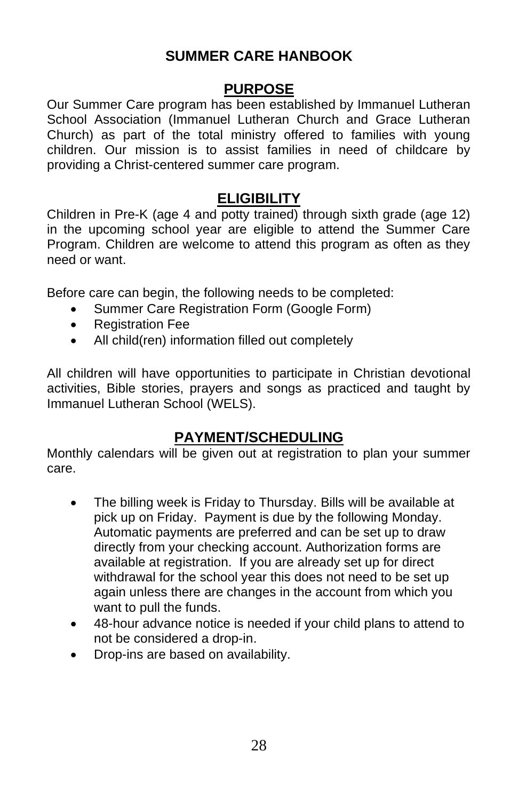### **SUMMER CARE HANBOOK**

#### **PURPOSE**

Our Summer Care program has been established by Immanuel Lutheran School Association (Immanuel Lutheran Church and Grace Lutheran Church) as part of the total ministry offered to families with young children. Our mission is to assist families in need of childcare by providing a Christ-centered summer care program.

### **ELIGIBILITY**

Children in Pre-K (age 4 and potty trained) through sixth grade (age 12) in the upcoming school year are eligible to attend the Summer Care Program. Children are welcome to attend this program as often as they need or want.

Before care can begin, the following needs to be completed:

- Summer Care Registration Form (Google Form)
- Registration Fee
- All child(ren) information filled out completely

All children will have opportunities to participate in Christian devotional activities, Bible stories, prayers and songs as practiced and taught by Immanuel Lutheran School (WELS).

### **PAYMENT/SCHEDULING**

Monthly calendars will be given out at registration to plan your summer care.

- The billing week is Friday to Thursday. Bills will be available at pick up on Friday. Payment is due by the following Monday. Automatic payments are preferred and can be set up to draw directly from your checking account. Authorization forms are available at registration. If you are already set up for direct withdrawal for the school year this does not need to be set up again unless there are changes in the account from which you want to pull the funds.
- 48-hour advance notice is needed if your child plans to attend to not be considered a drop-in.
- Drop-ins are based on availability.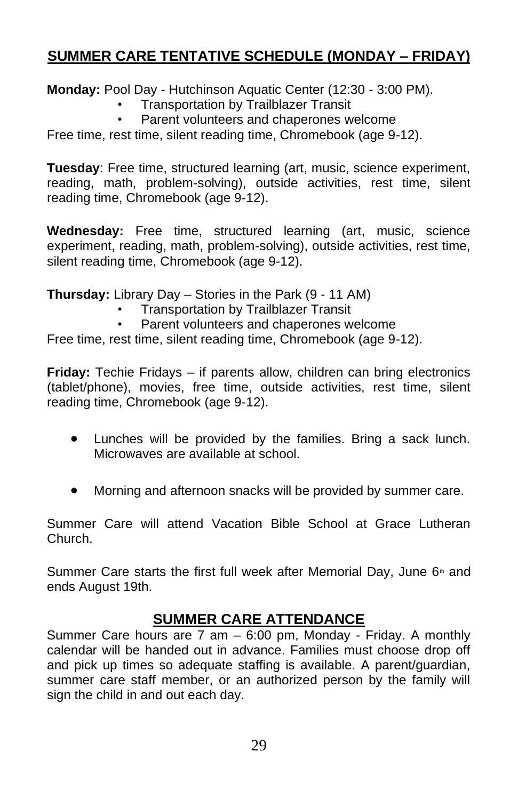# **SUMMER CARE TENTATIVE SCHEDULE (MONDAY – FRIDAY)**

**Monday:** Pool Day - Hutchinson Aquatic Center (12:30 - 3:00 PM).

- Transportation by Trailblazer Transit
- Parent volunteers and chaperones welcome

Free time, rest time, silent reading time, Chromebook (age 9-12).

**Tuesday**: Free time, structured learning (art, music, science experiment, reading, math, problem-solving), outside activities, rest time, silent reading time, Chromebook (age 9-12).

**Wednesday:** Free time, structured learning (art, music, science experiment, reading, math, problem-solving), outside activities, rest time, silent reading time, Chromebook (age 9-12).

**Thursday:** Library Day – Stories in the Park (9 - 11 AM)

- Transportation by Trailblazer Transit
- Parent volunteers and chaperones welcome

Free time, rest time, silent reading time, Chromebook (age 9-12).

**Friday:** Techie Fridays – if parents allow, children can bring electronics (tablet/phone), movies, free time, outside activities, rest time, silent reading time, Chromebook (age 9-12).

- Lunches will be provided by the families. Bring a sack lunch. Microwaves are available at school.
- Morning and afternoon snacks will be provided by summer care.

Summer Care will attend Vacation Bible School at Grace Lutheran Church.

Summer Care starts the first full week after Memorial Day, June  $6<sup>th</sup>$  and ends August 19th.

### **SUMMER CARE ATTENDANCE**

Summer Care hours are 7 am – 6:00 pm, Monday - Friday. A monthly calendar will be handed out in advance. Families must choose drop off and pick up times so adequate staffing is available. A parent/guardian, summer care staff member, or an authorized person by the family will sign the child in and out each day.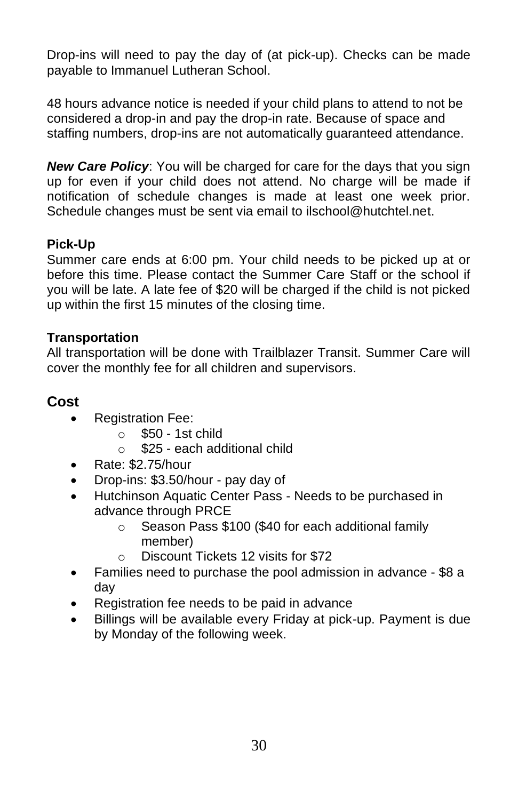Drop-ins will need to pay the day of (at pick-up). Checks can be made payable to Immanuel Lutheran School.

48 hours advance notice is needed if your child plans to attend to not be considered a drop-in and pay the drop-in rate. Because of space and staffing numbers, drop-ins are not automatically guaranteed attendance.

*New Care Policy*: You will be charged for care for the days that you sign up for even if your child does not attend. No charge will be made if notification of schedule changes is made at least one week prior. Schedule changes must be sent via email to ilschool@hutchtel.net.

### **Pick-Up**

Summer care ends at 6:00 pm. Your child needs to be picked up at or before this time. Please contact the Summer Care Staff or the school if you will be late. A late fee of \$20 will be charged if the child is not picked up within the first 15 minutes of the closing time.

#### **Transportation**

All transportation will be done with Trailblazer Transit. Summer Care will cover the monthly fee for all children and supervisors.

#### **Cost**

- Registration Fee:
	- $\circ$  \$50 1st child
	- o \$25 each additional child
- Rate: \$2.75/hour
- Drop-ins: \$3.50/hour pay day of
- Hutchinson Aquatic Center Pass Needs to be purchased in advance through PRCE
	- o Season Pass \$100 (\$40 for each additional family member)
	- o Discount Tickets 12 visits for \$72
- Families need to purchase the pool admission in advance \$8 a day
- Registration fee needs to be paid in advance
- Billings will be available every Friday at pick-up. Payment is due by Monday of the following week.